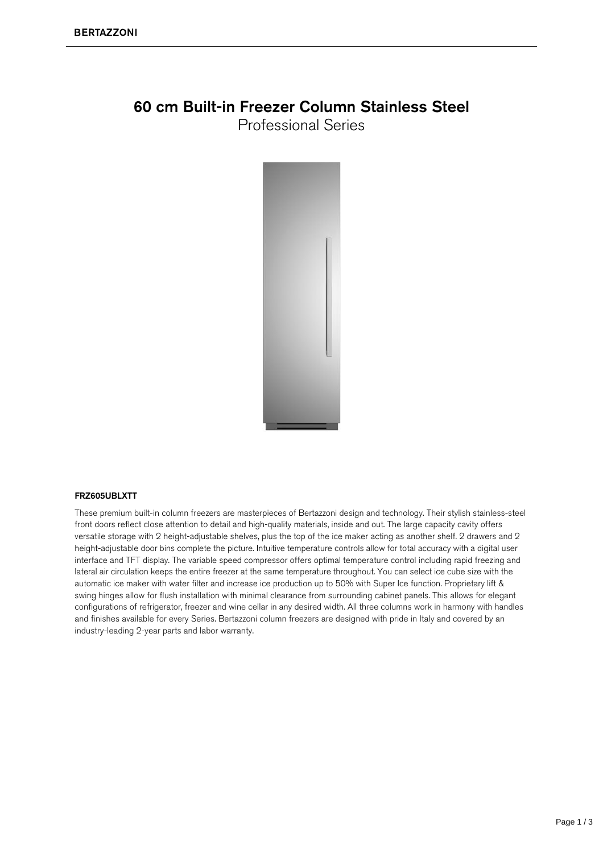### 60 cm Built-in Freezer Column Stainless Steel **Professional Series**

#### FRZ605UBLXTT

These premium built-in column freezers are masterpieces of Bertazzoni design and technology. Their stylish stainless-steel front doors reflect close attention to detail and high-quality materials, inside and out. The large capacity cavity offers versatile storage with 2 height-adjustable shelves, plus the top of the ice maker acting as another shelf. 2 drawers and 2 height-adjustable door bins complete the picture. Intuitive temperature controls allow for total accuracy with a digital user interface and TFT display. The variable speed compressor offers optimal temperature control including rapid freezing and lateral air circulation keeps the entire freezer at the same temperature throughout. You can select ice cube size with the automatic ice maker with water filter and increase ice production up to 50% with Super Ice function. Proprietary lift & swing hinges allow for flush installation with minimal clearance from surrounding cabinet panels. This allows for elegant configurations of refrigerator, freezer and wine cellar in any desired width. All three columns work in harmony with handles and finishes available for every Series. Bertazzoni column freezers are designed with pride in Italy and covered by an industry-leading 2-year parts and labor warranty.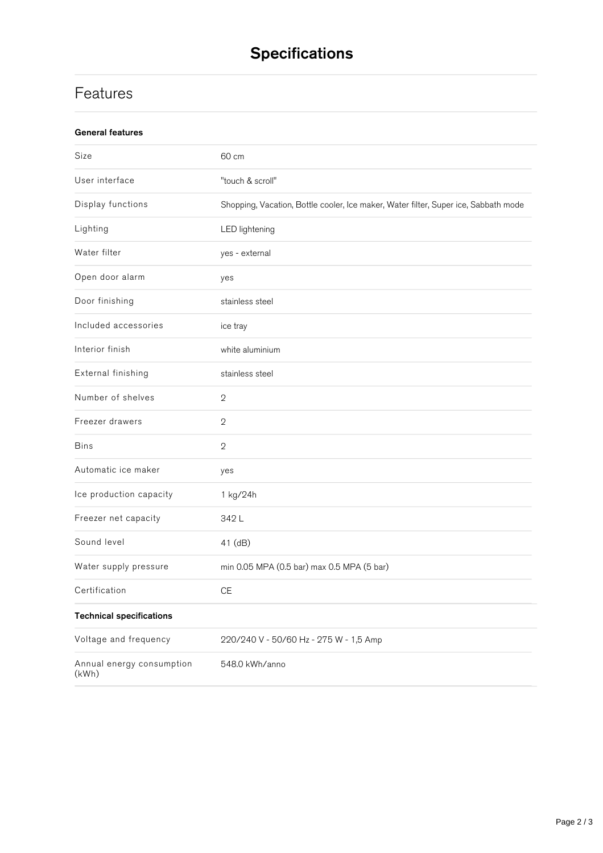# **Specifications**

## **Features**

| <b>General features</b>            |                                                                                     |
|------------------------------------|-------------------------------------------------------------------------------------|
| Size                               | 60 cm                                                                               |
| User interface                     | "touch & scroll"                                                                    |
| Display functions                  | Shopping, Vacation, Bottle cooler, Ice maker, Water filter, Super ice, Sabbath mode |
| Lighting                           | <b>LED</b> lightening                                                               |
| Water filter                       | yes - external                                                                      |
| Open door alarm                    | yes                                                                                 |
| Door finishing                     | stainless steel                                                                     |
| Included accessories               | ice tray                                                                            |
| Interior finish                    | white aluminium                                                                     |
| External finishing                 | stainless steel                                                                     |
| Number of shelves                  | $\sqrt{2}$                                                                          |
| Freezer drawers                    | $\mathbf 2$                                                                         |
| <b>Bins</b>                        | $\mathbf{2}$                                                                        |
| Automatic ice maker                | yes                                                                                 |
| Ice production capacity            | 1 kg/24h                                                                            |
| Freezer net capacity               | 342L                                                                                |
| Sound level                        | 41 (dB)                                                                             |
| Water supply pressure              | min 0.05 MPA (0.5 bar) max 0.5 MPA (5 bar)                                          |
| Certification                      | $\mathsf{CE}$                                                                       |
| <b>Technical specifications</b>    |                                                                                     |
| Voltage and frequency              | 220/240 V - 50/60 Hz - 275 W - 1,5 Amp                                              |
| Annual energy consumption<br>(kWh) | 548.0 kWh/anno                                                                      |